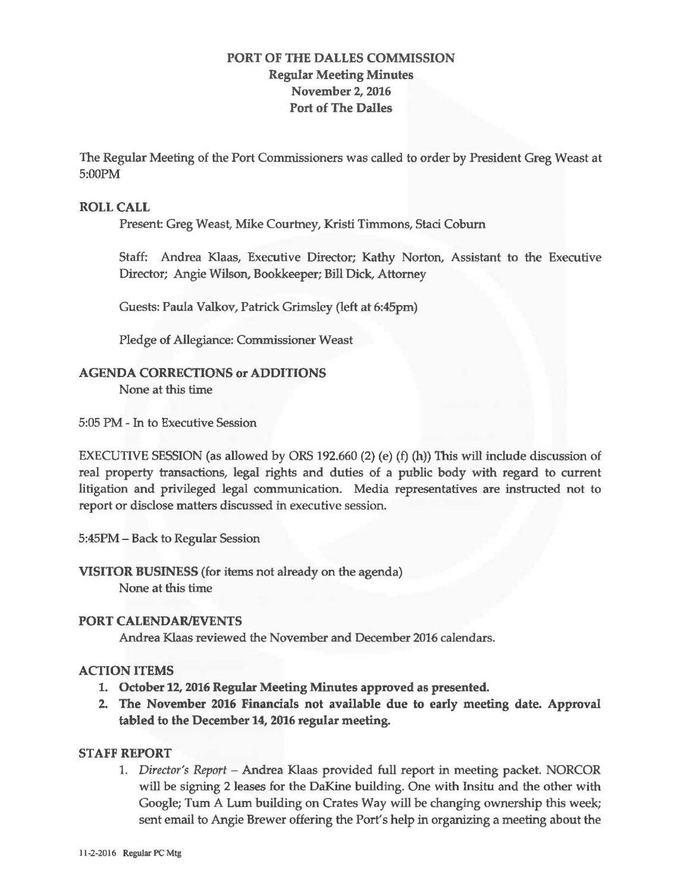# **PORT OF THE DALLES COMMISSION Regular Meeting Minutes November 2, 2016 Port of The Dalles**

The Regular Meeting of the Port Commissioners was called to order by President Greg Weast at 5:00PM

### **ROLL CALL**

Present: Greg Weast, Mike Courtney, Kristi Timmons, Staci Coburn

Staff: Andrea Klaas, Executive Director; Kathy Norton , Assistant to the Executive Director; Angie Wilson, Bookkeeper; Bill Dick, Attorney

Guests: Paula Valkov, Patrick Grimsley (left at 6:45pm)

Pledge of Allegiance: Commissioner Weast

### **AGENDA CORRECTIONS or ADDITIONS**

None at this time

5:05 PM - In to Executive Session

EXECUTIVE SESSION (as allowed by ORS 192.660 (2) (e) (f) (h)) This will include discussion of real property transactions, legal rights and duties of a public body with regard to current litigation and privileged legal communication. Media representatives are instructed not to report or disclose matters discussed in executive session.

5:45PM - Back to Regular Session

**VISITOR BUSINESS** (for items not already on the agenda) None at this time

#### **PORT CALENDAR/EVENTS**

Andrea Klaas reviewed the November and December 2016 calendars.

## **ACTION ITEMS**

- 1. **October 12, 2016 Regular Meeting Minutes approved as presented.**
- **2. The November 2016 Financials not available due to early meeting date. Approval tabled to the December 14, 2016 regular meeting.**

## **STAFF REPORT**

1. *Director's Report* - Andrea Klaas provided full report in meeting packet. NORCOR will be signing 2 leases for the DaKine building. One with Insitu and the other with Google; Tum A Lum building on Crates Way will be changing ownership this week; sent email to Angie Brewer offering the Port's help in organizing a meeting about the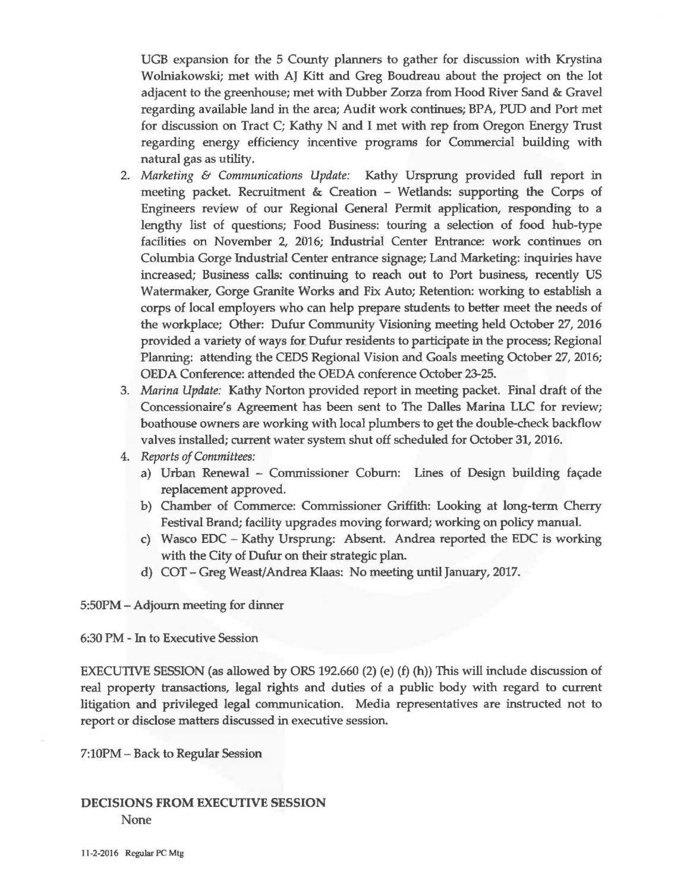UGB expansion for the 5 County planners to gather for discussion with Krystina Wolniakowski; met with AJ Kitt and Greg Boudreau about the project on the lot adjacent to the greenhouse; met with Dubber Zorza from Hood River Sand & Gravel regarding available land in the area; Audit work continues; BP A, PUD and Port met for discussion on Tract C; Kathy N and I met with rep from Oregon Energy Trust regarding energy efficiency incentive programs for Commercial building with natural gas as utility.

- 2. *Marketing* & *Communications Update:* Kathy Ursprung provided full report in meeting packet. Recruitment & Creation - Wetlands: supporting the Corps of Engineers review of our Regional General Permit application, responding to a lengthy list of questions; Food Business: touring a selection of food hub-type facilities on November 2, 2016; Industrial Center Entrance: work continues on Columbia Gorge Industrial Center entrance signage; Land Marketing: inquiries have increased; Business calls: continuing to reach out to Port business, recently US Watennaker, Gorge Granite Works and Fix Auto; Retention: working to establish a corps of local employers who can help prepare students to better meet the needs of the workplace; Other: Dufur Community Visioning meeting held October 27, 2016 provided a variety of ways for Dufur residents to participate in the process; Regional Planning: attending the CEDS Regional Vision and Goals meeting October 27, 2016; OEDA Conference: attended the OEDA conference October 23-25.
- 3. *Marina Update:* Kathy Norton provided report in meeting packet. Final draft of the Concessionaire's Agreement has been sent to The Dalles Marina LLC for review; boathouse owners are working with local plumbers to get the double-check backflow valves installed; current water system shut off scheduled for October 31, 2016.
- 4. *Reports of Committees:* 
	- a) Urban Renewal Commissioner Coburn: Lines of Design building façade replacement approved.
	- b) Chamber of Commerce: Commissioner Griffith: Looking at long-term Cherry Festival Brand; facility upgrades moving forward; working on policy manual.
	- c) Wasco EDC Kathy Ursprung: Absent. Andrea reported the EDC is working with the City of Dufur on their strategic plan.
	- d) COT Greg Weast/Andrea Klaas: No meeting until January, 2017.

5:50PM - Adjourn meeting for dinner

6:30 PM - In to Executive Session

EXECUTIVE SESSION (as allowed by ORS 192.660 (2) (e) (f) (h)) This will include discussion of real property transactions, legal rights and duties of a public body with regard to current litigation and privileged legal communication. Media representatives are instructed not to report or disclose matters discussed in executive session.

7:lOPM- Back to ReguJar Session

# **DECISIONS FROM EXECUTIVE SESSION**  None